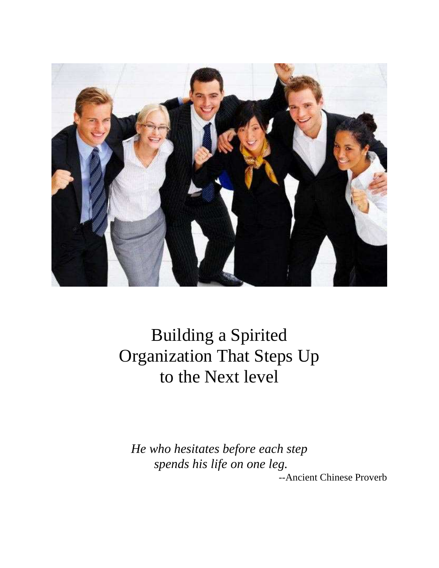

Building a Spirited Organization That Steps Up to the Next level

*He who hesitates before each step spends his life on one leg.* 

--Ancient Chinese Proverb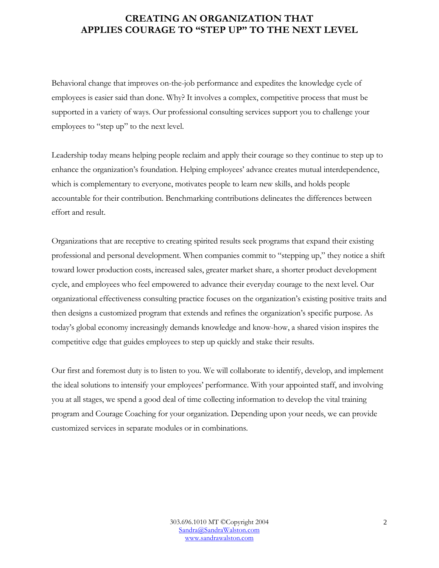#### **CREATING AN ORGANIZATION THAT APPLIES COURAGE TO "STEP UP" TO THE NEXT LEVEL**

Behavioral change that improves on-the-job performance and expedites the knowledge cycle of employees is easier said than done. Why? It involves a complex, competitive process that must be supported in a variety of ways. Our professional consulting services support you to challenge your employees to "step up" to the next level.

Leadership today means helping people reclaim and apply their courage so they continue to step up to enhance the organization's foundation. Helping employees' advance creates mutual interdependence, which is complementary to everyone, motivates people to learn new skills, and holds people accountable for their contribution. Benchmarking contributions delineates the differences between effort and result.

Organizations that are receptive to creating spirited results seek programs that expand their existing professional and personal development. When companies commit to "stepping up," they notice a shift toward lower production costs, increased sales, greater market share, a shorter product development cycle, and employees who feel empowered to advance their everyday courage to the next level. Our organizational effectiveness consulting practice focuses on the organization's existing positive traits and then designs a customized program that extends and refines the organization's specific purpose. As today's global economy increasingly demands knowledge and know-how, a shared vision inspires the competitive edge that guides employees to step up quickly and stake their results.

Our first and foremost duty is to listen to you. We will collaborate to identify, develop, and implement the ideal solutions to intensify your employees' performance. With your appointed staff, and involving you at all stages, we spend a good deal of time collecting information to develop the vital training program and Courage Coaching for your organization. Depending upon your needs, we can provide customized services in separate modules or in combinations.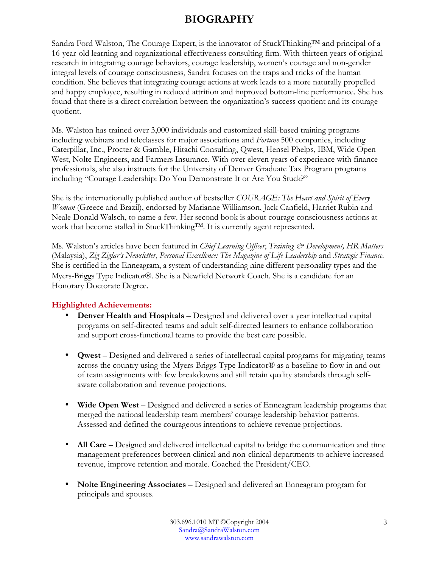### **BIOGRAPHY**

Sandra Ford Walston, The Courage Expert, is the innovator of StuckThinking™ and principal of a 16-year-old learning and organizational effectiveness consulting firm. With thirteen years of original research in integrating courage behaviors, courage leadership, women's courage and non-gender integral levels of courage consciousness, Sandra focuses on the traps and tricks of the human condition. She believes that integrating courage actions at work leads to a more naturally propelled and happy employee, resulting in reduced attrition and improved bottom-line performance. She has found that there is a direct correlation between the organization's success quotient and its courage quotient.

Ms. Walston has trained over 3,000 individuals and customized skill-based training programs including webinars and teleclasses for major associations and *Fortune* 500 companies, including Caterpillar, Inc., Procter & Gamble, Hitachi Consulting, Qwest, Hensel Phelps, IBM, Wide Open West, Nolte Engineers, and Farmers Insurance. With over eleven years of experience with finance professionals, she also instructs for the University of Denver Graduate Tax Program programs including "Courage Leadership: Do You Demonstrate It or Are You Stuck?"

She is the internationally published author of bestseller *COURAGE: The Heart and Spirit of Every Woman* (Greece and Brazil), endorsed by Marianne Williamson, Jack Canfield, Harriet Rubin and Neale Donald Walsch, to name a few. Her second book is about courage consciousness actions at work that become stalled in StuckThinking™. It is currently agent represented.

Ms. Walston's articles have been featured in *Chief Learning Officer*, *Training & Development, HR Matters* (Malaysia), *Zig Ziglar's Newsletter*, *Personal Excellence: The Magazine of Life Leadership* and *Strategic Finance*. She is certified in the Enneagram, a system of understanding nine different personality types and the Myers-Briggs Type Indicator®. She is a Newfield Network Coach. She is a candidate for an Honorary Doctorate Degree.

#### **Highlighted Achievements:**

- **Denver Health and Hospitals** Designed and delivered over a year intellectual capital programs on self-directed teams and adult self-directed learners to enhance collaboration and support cross-functional teams to provide the best care possible.
- **Qwest** Designed and delivered a series of intellectual capital programs for migrating teams across the country using the Myers-Briggs Type Indicator® as a baseline to flow in and out of team assignments with few breakdowns and still retain quality standards through selfaware collaboration and revenue projections.
- **Wide Open West** Designed and delivered a series of Enneagram leadership programs that merged the national leadership team members' courage leadership behavior patterns. Assessed and defined the courageous intentions to achieve revenue projections.
- **All Care** Designed and delivered intellectual capital to bridge the communication and time management preferences between clinical and non-clinical departments to achieve increased revenue, improve retention and morale. Coached the President/CEO.
- **Nolte Engineering Associates** Designed and delivered an Enneagram program for principals and spouses.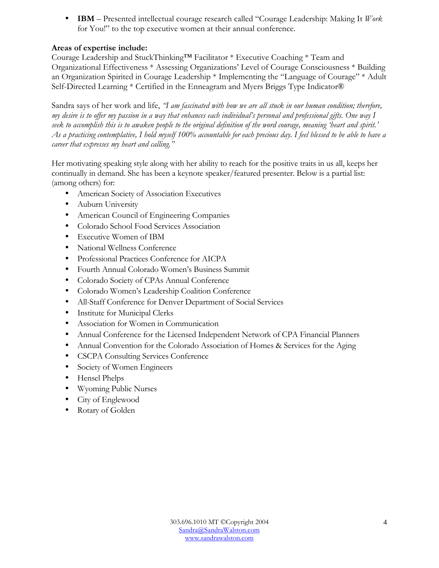• **IBM** – Presented intellectual courage research called "Courage Leadership: Making It *Work* for You!" to the top executive women at their annual conference.

#### **Areas of expertise include:**

Courage Leadership and StuckThinking™ Facilitator \* Executive Coaching \* Team and Organizational Effectiveness \* Assessing Organizations' Level of Courage Consciousness \* Building an Organization Spirited in Courage Leadership \* Implementing the "Language of Courage" \* Adult Self-Directed Learning \* Certified in the Enneagram and Myers Briggs Type Indicator®

Sandra says of her work and life, *"I am fascinated with how we are all stuck in our human condition; therefore, my desire is to offer my passion in a way that enhances each individual's personal and professional gifts. One way I seek to accomplish this is to awaken people to the original definition of the word courage, meaning 'heart and spirit.' As a practicing contemplative, I hold myself 100% accountable for each precious day. I feel blessed to be able to have a career that expresses my heart and calling."* 

Her motivating speaking style along with her ability to reach for the positive traits in us all, keeps her continually in demand. She has been a keynote speaker/featured presenter. Below is a partial list: (among others) for:

- American Society of Association Executives
- Auburn University
- American Council of Engineering Companies
- Colorado School Food Services Association
- Executive Women of IBM
- National Wellness Conference
- Professional Practices Conference for AICPA
- Fourth Annual Colorado Women's Business Summit
- Colorado Society of CPAs Annual Conference
- Colorado Women's Leadership Coalition Conference
- All-Staff Conference for Denver Department of Social Services
- Institute for Municipal Clerks
- Association for Women in Communication
- Annual Conference for the Licensed Independent Network of CPA Financial Planners
- Annual Convention for the Colorado Association of Homes & Services for the Aging
- CSCPA Consulting Services Conference
- Society of Women Engineers
- Hensel Phelps
- Wyoming Public Nurses
- City of Englewood
- Rotary of Golden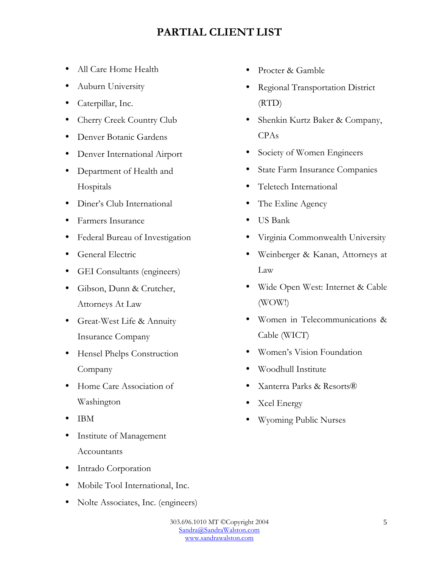### **PARTIAL CLIENT LIST**

- All Care Home Health
- Auburn University
- Caterpillar, Inc.
- Cherry Creek Country Club
- Denver Botanic Gardens
- Denver International Airport
- Department of Health and Hospitals
- Diner's Club International
- Farmers Insurance
- Federal Bureau of Investigation
- General Electric
- GEI Consultants (engineers)
- Gibson, Dunn & Crutcher, Attorneys At Law
- Great-West Life & Annuity Insurance Company
- Hensel Phelps Construction Company
- Home Care Association of Washington
- IBM
- Institute of Management Accountants
- Intrado Corporation
- Mobile Tool International, Inc.
- Nolte Associates, Inc. (engineers)
- Procter & Gamble
- Regional Transportation District (RTD)
- Shenkin Kurtz Baker & Company, CPAs
- Society of Women Engineers
- State Farm Insurance Companies
- Teletech International
- The Exline Agency
- US Bank
- Virginia Commonwealth University
- Weinberger & Kanan, Attorneys at Law
- Wide Open West: Internet & Cable (WOW!)
- Women in Telecommunications & Cable (WICT)
- Women's Vision Foundation
- Woodhull Institute
- Xanterra Parks & Resorts®
- Xcel Energy
- Wyoming Public Nurses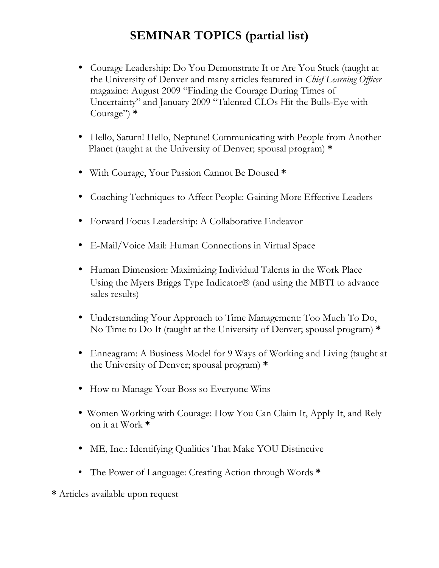## **SEMINAR TOPICS (partial list)**

- Courage Leadership: Do You Demonstrate It or Are You Stuck (taught at the University of Denver and many articles featured in *Chief Learning Officer*  magazine: August 2009 "Finding the Courage During Times of Uncertainty" and January 2009 "Talented CLOs Hit the Bulls-Eye with Courage") **\***
- Hello, Saturn! Hello, Neptune! Communicating with People from Another Planet (taught at the University of Denver; spousal program) **\***
- With Courage, Your Passion Cannot Be Doused **\***
- Coaching Techniques to Affect People: Gaining More Effective Leaders
- Forward Focus Leadership: A Collaborative Endeavor
- E-Mail/Voice Mail: Human Connections in Virtual Space
- Human Dimension: Maximizing Individual Talents in the Work Place Using the Myers Briggs Type Indicator $\mathcal D$  (and using the MBTI to advance sales results)
- Understanding Your Approach to Time Management: Too Much To Do, No Time to Do It (taught at the University of Denver; spousal program) **\***
- Enneagram: A Business Model for 9 Ways of Working and Living (taught at the University of Denver; spousal program) **\***
- How to Manage Your Boss so Everyone Wins
- Women Working with Courage: How You Can Claim It, Apply It, and Rely on it at Work **\***
- ME, Inc.: Identifying Qualities That Make YOU Distinctive
- The Power of Language: Creating Action through Words **\***
- **\*** Articles available upon request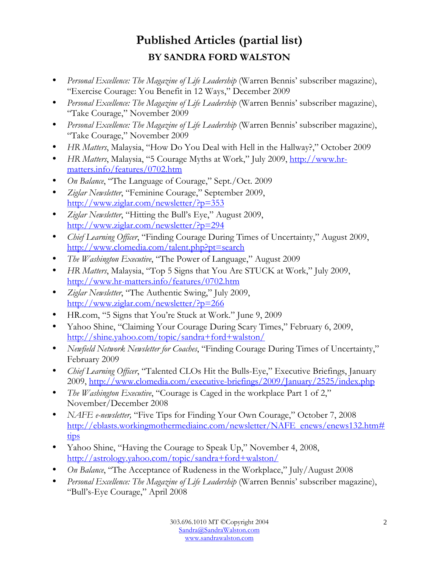# **Published Articles (partial list) BY SANDRA FORD WALSTON**

- *Personal Excellence: The Magazine of Life Leadership* (Warren Bennis' subscriber magazine), "Exercise Courage: You Benefit in 12 Ways," December 2009
- *Personal Excellence: The Magazine of Life Leadership* (Warren Bennis' subscriber magazine), "Take Courage," November 2009
- *Personal Excellence: The Magazine of Life Leadership* (Warren Bennis' subscriber magazine), "Take Courage," November 2009
- *HR Matters*, Malaysia, "How Do You Deal with Hell in the Hallway?," October 2009
- *HR Matters*, Malaysia, "5 Courage Myths at Work," July 2009, http://www.hrmatters.info/features/0702.htm
- *On Balance*, "The Language of Courage," Sept./Oct. 2009
- *Ziglar Newsletter*, "Feminine Courage," September 2009, http://www.ziglar.com/newsletter/?p=353
- *Ziglar Newsletter*, "Hitting the Bull's Eye," August 2009, http://www.ziglar.com/newsletter/?p=294
- *Chief Learning Officer*, "Finding Courage During Times of Uncertainty," August 2009, http://www.clomedia.com/talent.php?pt=search
- *The Washington Executive*, "The Power of Language," August 2009
- *HR Matters*, Malaysia, "Top 5 Signs that You Are STUCK at Work," July 2009, http://www.hr-matters.info/features/0702.htm
- *Ziglar Newsletter*, "The Authentic Swing," July 2009, http://www.ziglar.com/newsletter/?p=266
- HR.com, "5 Signs that You're Stuck at Work." June 9, 2009
- Yahoo Shine, "Claiming Your Courage During Scary Times," February 6, 2009, http://shine.yahoo.com/topic/sandra+ford+walston/
- *Newfield Network Newsletter for Coaches*, "Finding Courage During Times of Uncertainty," February 2009
- *Chief Learning Officer*, "Talented CLOs Hit the Bulls-Eye," Executive Briefings, January 2009, http://www.clomedia.com/executive-briefings/2009/January/2525/index.php
- *The Washington Executive*, "Courage is Caged in the workplace Part 1 of 2," November/December 2008
- *NAFE e-newsletter,* "Five Tips for Finding Your Own Courage," October 7, 2008 http://eblasts.workingmothermediainc.com/newsletter/NAFE\_enews/enews132.htm# tips
- Yahoo Shine, "Having the Courage to Speak Up," November 4, 2008, http://astrology.yahoo.com/topic/sandra+ford+walston/
- *On Balance*, "The Acceptance of Rudeness in the Workplace," July/August 2008
- *Personal Excellence: The Magazine of Life Leadership* (Warren Bennis' subscriber magazine), "Bull's-Eye Courage," April 2008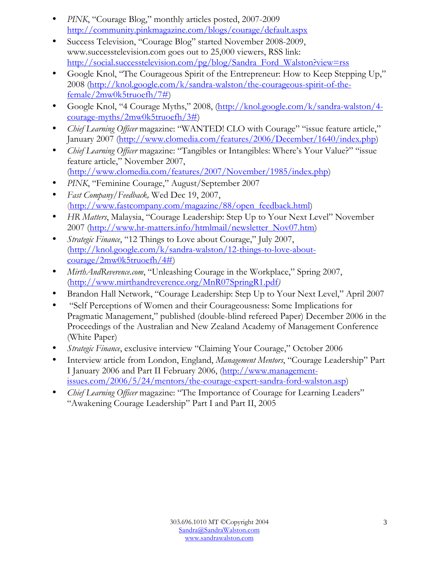- *PINK*, "Courage Blog," monthly articles posted, 2007-2009 http://community.pinkmagazine.com/blogs/courage/default.aspx
- Success Television, "Courage Blog" started November 2008-2009, www.successtelevision.com goes out to 25,000 viewers, RSS link: http://social.successtelevision.com/pg/blog/Sandra\_Ford\_Walston?view=rss
- Google Knol, "The Courageous Spirit of the Entrepreneur: How to Keep Stepping Up," 2008 (http://knol.google.com/k/sandra-walston/the-courageous-spirit-of-thefemale/2mw0k5truoefh/7#)
- Google Knol, "4 Courage Myths," 2008, (http://knol.google.com/k/sandra-walston/4courage-myths/2mw0k5truoefh/3#)
- *Chief Learning Officer* magazine: "WANTED! CLO with Courage" "issue feature article," January 2007 (http://www.clomedia.com/features/2006/December/1640/index.php)
- *Chief Learning Officer* magazine: "Tangibles or Intangibles: Where's Your Value?" "issue feature article," November 2007, (http://www.clomedia.com/features/2007/November/1985/index.php)
- *PINK*, "Feminine Courage," August/September 2007
- *Fast Company/Feedback,* Wed Dec 19, 2007, (http://www.fastcompany.com/magazine/88/open\_feedback.html)
- *HR Matters*, Malaysia, "Courage Leadership: Step Up to Your Next Level" November 2007 (http://www.hr-matters.info/htmlmail/newsletter\_Nov07.htm)
- *Strategic Finance*, "12 Things to Love about Courage," July 2007, (http://knol.google.com/k/sandra-walston/12-things-to-love-aboutcourage/2mw0k5truoefh/4#)
- *MirthAndReverence.com*, "Unleashing Courage in the Workplace," Spring 2007, (http://www.mirthandreverence.org/MnR07SpringR1.pdf*)*
- Brandon Hall Network, "Courage Leadership: Step Up to Your Next Level," April 2007
- "Self Perceptions of Women and their Courageousness: Some Implications for Pragmatic Management," published (double-blind refereed Paper) December 2006 in the Proceedings of the Australian and New Zealand Academy of Management Conference (White Paper)
- *Strategic Finance*, exclusive interview "Claiming Your Courage," October 2006
- Interview article from London, England, *Management Mentors*, "Courage Leadership" Part I January 2006 and Part II February 2006, (http://www.managementissues.com/2006/5/24/mentors/the-courage-expert-sandra-ford-walston.asp)
- *Chief Learning Officer* magazine: "The Importance of Courage for Learning Leaders" "Awakening Courage Leadership" Part I and Part II, 2005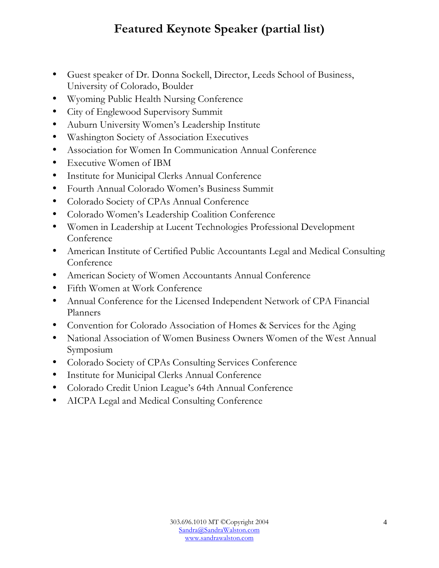# **Featured Keynote Speaker (partial list)**

- Guest speaker of Dr. Donna Sockell, Director, Leeds School of Business, University of Colorado, Boulder
- Wyoming Public Health Nursing Conference
- City of Englewood Supervisory Summit
- Auburn University Women's Leadership Institute
- Washington Society of Association Executives
- Association for Women In Communication Annual Conference
- Executive Women of IBM
- Institute for Municipal Clerks Annual Conference
- Fourth Annual Colorado Women's Business Summit
- Colorado Society of CPAs Annual Conference
- Colorado Women's Leadership Coalition Conference
- Women in Leadership at Lucent Technologies Professional Development Conference
- American Institute of Certified Public Accountants Legal and Medical Consulting Conference
- American Society of Women Accountants Annual Conference
- Fifth Women at Work Conference
- Annual Conference for the Licensed Independent Network of CPA Financial Planners
- Convention for Colorado Association of Homes & Services for the Aging
- National Association of Women Business Owners Women of the West Annual Symposium
- Colorado Society of CPAs Consulting Services Conference
- Institute for Municipal Clerks Annual Conference
- Colorado Credit Union League's 64th Annual Conference
- AICPA Legal and Medical Consulting Conference